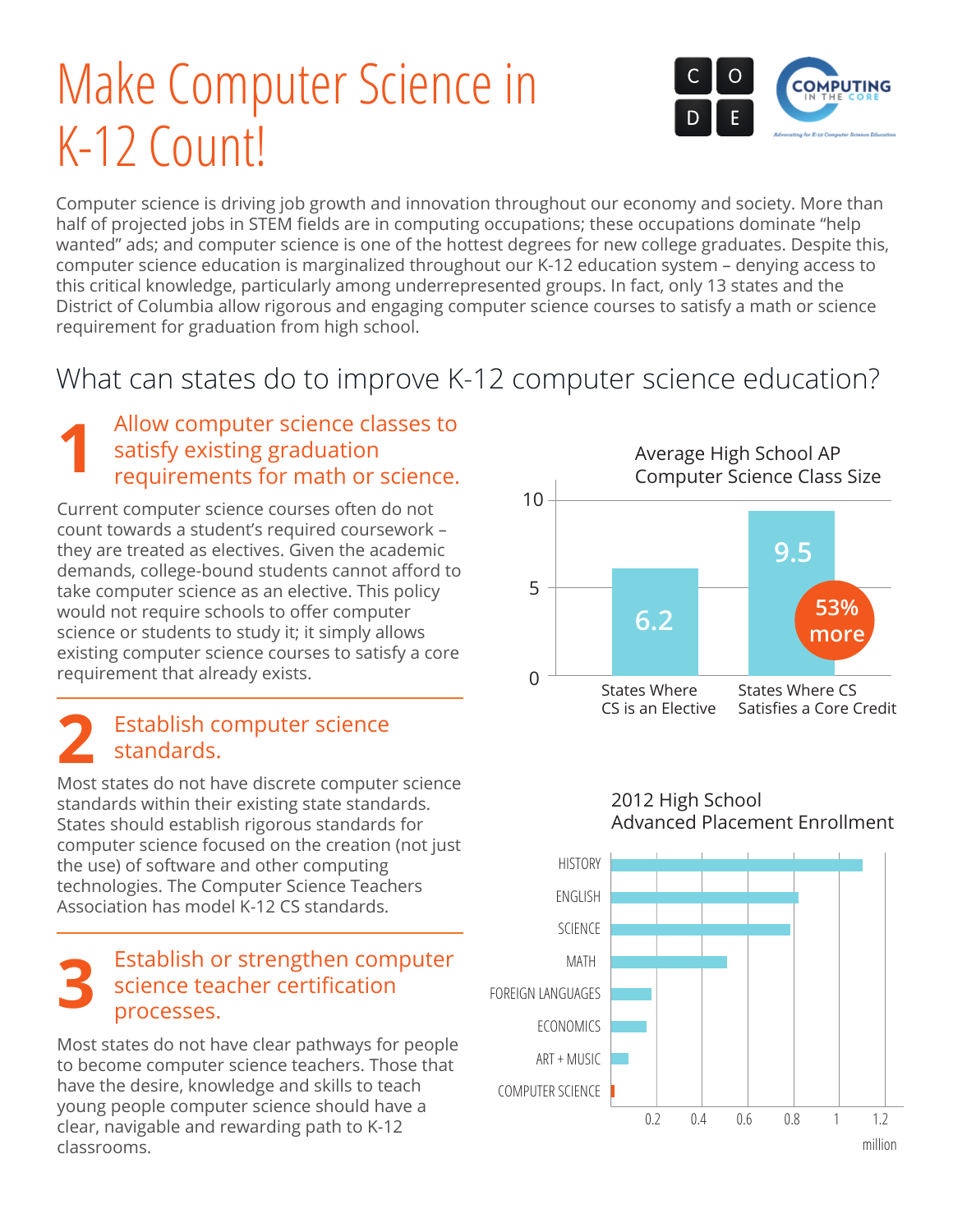# Make Computer Science in K-12 Count!



Computer science is driving job growth and innovation throughout our economy and society. More than half of projected jobs in STEM fields are in computing occupations; these occupations dominate "help wanted" ads; and computer science is one of the hottest degrees for new college graduates. Despite this, computer science education is marginalized throughout our K-12 education system – denying access to this critical knowledge, particularly among underrepresented groups. In fact, only 13 states and the District of Columbia allow rigorous and engaging computer science courses to satisfy a math or science requirement for graduation from high school.

### What can states do to improve K-12 computer science education?

#### Allow computer science classes to satisfy existing graduation requirements for math or science. **1**

Current computer science courses often do not count towards a student's required coursework – they are treated as electives. Given the academic demands, college-bound students cannot afford to take computer science as an elective. This policy would not require schools to offer computer science or students to study it; it simply allows existing computer science courses to satisfy a core requirement that already exists.

#### Establish computer science standards. **2**

Most states do not have discrete computer science standards within their existing state standards. States should establish rigorous standards for computer science focused on the creation (not just the use) of software and other computing technologies. The Computer Science Teachers Association has model K-12 CS standards.

#### Establish or strengthen computer science teacher certification processes. **3**

Most states do not have clear pathways for people to become computer science teachers. Those that have the desire, knowledge and skills to teach young people computer science should have a clear, navigable and rewarding path to K-12 classrooms.



2012 High School Advanced Placement Enrollment